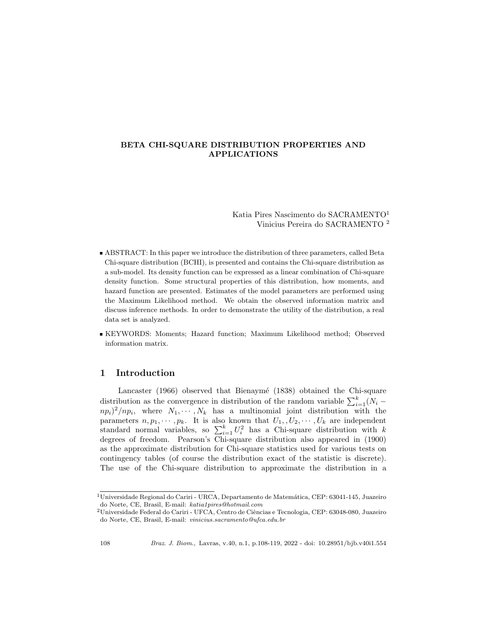#### BETA CHI-SQUARE DISTRIBUTION PROPERTIES AND APPLICATIONS

Katia Pires Nascimento do SACRAMENTO<sup>1</sup> Vinicius Pereira do SACRAMENTO <sup>2</sup>

- ABSTRACT: In this paper we introduce the distribution of three parameters, called Beta Chi-square distribution (BCHI), is presented and contains the Chi-square distribution as a sub-model. Its density function can be expressed as a linear combination of Chi-square density function. Some structural properties of this distribution, how moments, and hazard function are presented. Estimates of the model parameters are performed using the Maximum Likelihood method. We obtain the observed information matrix and discuss inference methods. In order to demonstrate the utility of the distribution, a real data set is analyzed.
- KEYWORDS: Moments; Hazard function; Maximum Likelihood method; Observed information matrix.

#### 1 Introduction

Lancaster (1966) observed that Bienaymé (1838) obtained the Chi-square distribution as the convergence in distribution of the random variable  $\sum_{i=1}^{k} (N_i$  $n p_i$ <sup>2</sup>/np<sub>i</sub>, where  $N_1, \cdots, N_k$  has a multinomial joint distribution with the parameters  $n, p_1, \dots, p_k$ . It is also known that  $U_1, U_2, \dots, U_k$  are independent standard normal variables, so  $\sum_{i=1}^{k} U_i^2$  has a Chi-square distribution with k degrees of freedom. Pearson's Chi-square distribution also appeared in (1900) as the approximate distribution for Chi-square statistics used for various tests on contingency tables (of course the distribution exact of the statistic is discrete). The use of the Chi-square distribution to approximate the distribution in a

 $1$ Universidade Regional do Cariri - URCA, Departamento de Matemática, CEP: 63041-145, Juazeiro do Norte, CE, Brasil, E-mail: katia1pires@hotmail.com

 $^{2}$ Universidade Federal do Cariri - UFCA, Centro de Ciências e Tecnologia, CEP: 63048-080, Juazeiro do Norte, CE, Brasil, E-mail: vinicius.sacramento@ufca.edu.br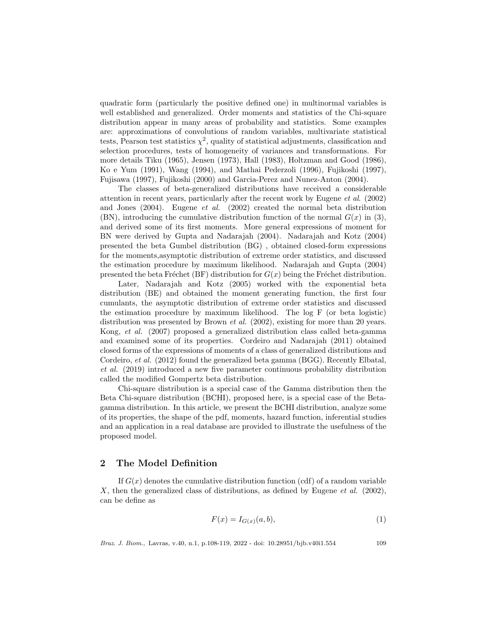quadratic form (particularly the positive defined one) in multinormal variables is well established and generalized. Order moments and statistics of the Chi-square distribution appear in many areas of probability and statistics. Some examples are: approximations of convolutions of random variables, multivariate statistical tests, Pearson test statistics  $\chi^2$ , quality of statistical adjustments, classification and selection procedures, tests of homogeneity of variances and transformations. For more details Tiku (1965), Jensen (1973), Hall (1983), Holtzman and Good (1986), Ko e Yum (1991), Wang (1994), and Mathai Pederzoli (1996), Fujikoshi (1997), Fujisawa (1997), Fujikoshi (2000) and Garcia-Perez and Nunez-Anton (2004).

The classes of beta-generalized distributions have received a considerable attention in recent years, particularly after the recent work by Eugene et al. (2002) and Jones  $(2004)$ . Eugene *et al.*  $(2002)$  created the normal beta distribution (BN), introducing the cumulative distribution function of the normal  $G(x)$  in (3), and derived some of its first moments. More general expressions of moment for BN were derived by Gupta and Nadarajah (2004). Nadarajah and Kotz (2004) presented the beta Gumbel distribution (BG) , obtained closed-form expressions for the moments,asymptotic distribution of extreme order statistics, and discussed the estimation procedure by maximum likelihood. Nadarajah and Gupta (2004) presented the beta Fréchet (BF) distribution for  $G(x)$  being the Fréchet distribution.

Later, Nadarajah and Kotz (2005) worked with the exponential beta distribution (BE) and obtained the moment generating function, the first four cumulants, the asymptotic distribution of extreme order statistics and discussed the estimation procedure by maximum likelihood. The log F (or beta logistic) distribution was presented by Brown *et al.* (2002), existing for more than 20 years. Kong, et al. (2007) proposed a generalized distribution class called beta-gamma and examined some of its properties. Cordeiro and Nadarajah (2011) obtained closed forms of the expressions of moments of a class of generalized distributions and Cordeiro, *et al.* (2012) found the generalized beta gamma (BGG). Recently Elbatal, et al. (2019) introduced a new five parameter continuous probability distribution called the modified Gompertz beta distribution.

Chi-square distribution is a special case of the Gamma distribution then the Beta Chi-square distribution (BCHI), proposed here, is a special case of the Betagamma distribution. In this article, we present the BCHI distribution, analyze some of its properties, the shape of the pdf, moments, hazard function, inferential studies and an application in a real database are provided to illustrate the usefulness of the proposed model.

### 2 The Model Definition

If  $G(x)$  denotes the cumulative distribution function (cdf) of a random variable X, then the generalized class of distributions, as defined by Eugene *et al.* (2002), can be define as

$$
F(x) = I_{G(x)}(a, b),\tag{1}
$$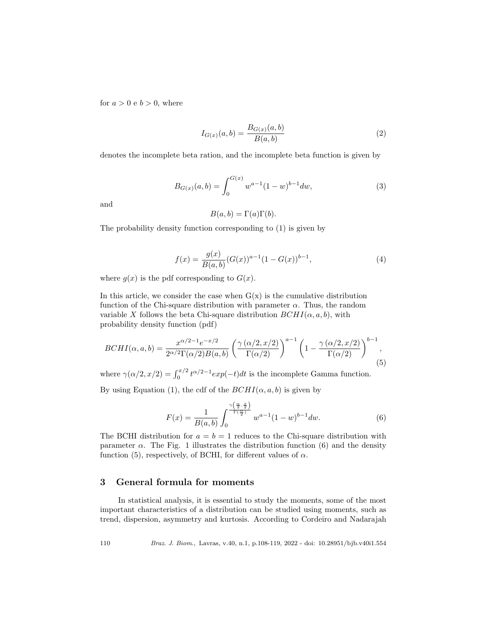for  $a > 0$  e  $b > 0$ , where

$$
I_{G(x)}(a,b) = \frac{B_{G(x)}(a,b)}{B(a,b)}
$$
\n(2)

denotes the incomplete beta ration, and the incomplete beta function is given by

$$
B_{G(x)}(a,b) = \int_0^{G(x)} w^{a-1} (1-w)^{b-1} dw,
$$
\n(3)

and

$$
B(a, b) = \Gamma(a)\Gamma(b).
$$

The probability density function corresponding to (1) is given by

$$
f(x) = \frac{g(x)}{B(a,b)} (G(x))^{a-1} (1 - G(x))^{b-1},
$$
\n(4)

where  $g(x)$  is the pdf corresponding to  $G(x)$ .

In this article, we consider the case when  $G(x)$  is the cumulative distribution function of the Chi-square distribution with parameter  $\alpha$ . Thus, the random variable X follows the beta Chi-square distribution  $BCHI(\alpha, a, b)$ , with probability density function (pdf)

$$
BCHI(\alpha, a, b) = \frac{x^{\alpha/2 - 1}e^{-x/2}}{2^{\alpha/2}\Gamma(\alpha/2)B(a, b)} \left(\frac{\gamma(\alpha/2, x/2)}{\Gamma(\alpha/2)}\right)^{a-1} \left(1 - \frac{\gamma(\alpha/2, x/2)}{\Gamma(\alpha/2)}\right)^{b-1},\tag{5}
$$

where  $\gamma(\alpha/2, x/2) = \int_0^{x/2} t^{\alpha/2 - 1} exp(-t) dt$  is the incomplete Gamma function.

By using Equation (1), the cdf of the  $BCHI(\alpha, a, b)$  is given by

$$
F(x) = \frac{1}{B(a,b)} \int_0^{\frac{\gamma(\frac{\alpha}{2},\frac{x}{2})}{\Gamma(\frac{\alpha}{2})}} w^{a-1} (1-w)^{b-1} dw.
$$
 (6)

The BCHI distribution for  $a = b = 1$  reduces to the Chi-square distribution with parameter  $\alpha$ . The Fig. 1 illustrates the distribution function (6) and the density function (5), respectively, of BCHI, for different values of  $\alpha$ .

### 3 General formula for moments

In statistical analysis, it is essential to study the moments, some of the most important characteristics of a distribution can be studied using moments, such as trend, dispersion, asymmetry and kurtosis. According to Cordeiro and Nadarajah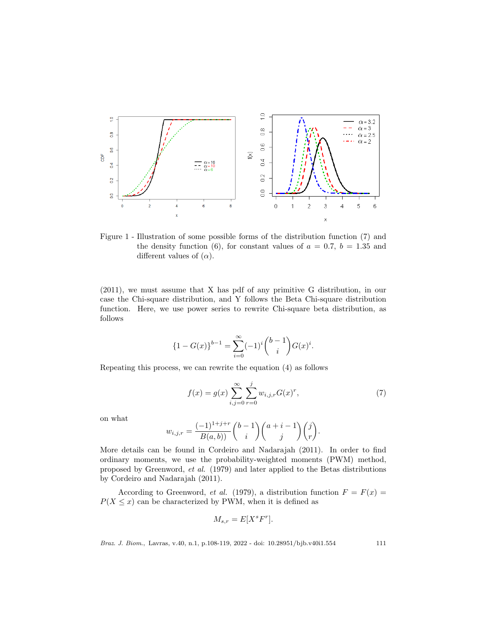

Figure 1 - Illustration of some possible forms of the distribution function (7) and the density function (6), for constant values of  $a = 0.7$ ,  $b = 1.35$  and different values of  $(\alpha)$ .

(2011), we must assume that X has pdf of any primitive G distribution, in our case the Chi-square distribution, and Y follows the Beta Chi-square distribution function. Here, we use power series to rewrite Chi-square beta distribution, as follows

$$
{1 - G(x)}^{b-1} = \sum_{i=0}^{\infty} (-1)^{i} {b-1 \choose i} G(x)^{i}.
$$

Repeating this process, we can rewrite the equation (4) as follows

$$
f(x) = g(x) \sum_{i,j=0}^{\infty} \sum_{r=0}^{j} w_{i,j,r} G(x)^r,
$$
 (7)

on what

$$
w_{i,j,r} = \frac{(-1)^{1+j+r}}{B(a,b))} {b-1 \choose i} {a+i-1 \choose j}{j \choose r}.
$$

More details can be found in Cordeiro and Nadarajah (2011). In order to find ordinary moments, we use the probability-weighted moments (PWM) method, proposed by Greenword, et al. (1979) and later applied to the Betas distributions by Cordeiro and Nadarajah (2011).

According to Greenword, et al. (1979), a distribution function  $F = F(x) =$  $P(X \leq x)$  can be characterized by PWM, when it is defined as

$$
M_{s,r} = E[X^s F^r].
$$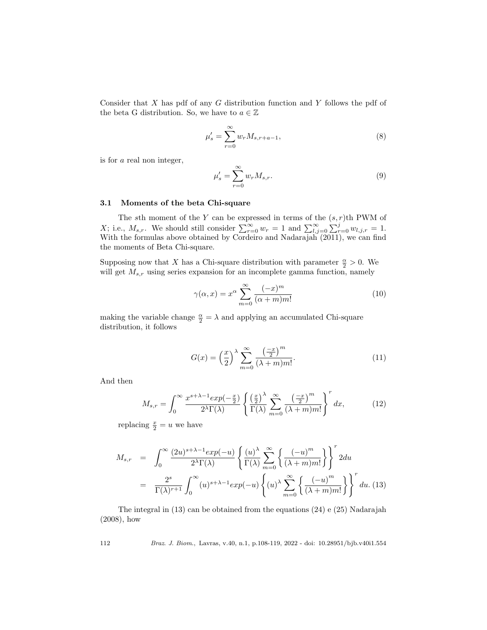Consider that  $X$  has pdf of any  $G$  distribution function and  $Y$  follows the pdf of the beta G distribution. So, we have to  $a \in \mathbb{Z}$ 

$$
\mu_s' = \sum_{r=0}^{\infty} w_r M_{s,r+a-1},\tag{8}
$$

is for a real non integer,

$$
\mu_s' = \sum_{r=0}^{\infty} w_r M_{s,r}.
$$
\n(9)

#### 3.1 Moments of the beta Chi-square

The sth moment of the Y can be expressed in terms of the  $(s, r)$ th PWM of X; i.e.,  $M_{s,r}$ . We should still consider  $\sum_{r=0}^{\infty} w_r = 1$  and  $\sum_{l,j=0}^{\infty} \sum_{r=0}^{j} w_{l,j,r} = 1$ . With the formulas above obtained by Cordeiro and Nadarajah (2011), we can find the moments of Beta Chi-square.

Supposing now that X has a Chi-square distribution with parameter  $\frac{\alpha}{2} > 0$ . We will get  $M_{s,r}$  using series expansion for an incomplete gamma function, namely

$$
\gamma(\alpha, x) = x^{\alpha} \sum_{m=0}^{\infty} \frac{(-x)^m}{(\alpha + m)m!}
$$
 (10)

making the variable change  $\frac{\alpha}{2} = \lambda$  and applying an accumulated Chi-square distribution, it follows

$$
G(x) = \left(\frac{x}{2}\right)^{\lambda} \sum_{m=0}^{\infty} \frac{\left(\frac{-x}{2}\right)^m}{(\lambda+m)m!}.
$$
 (11)

And then

$$
M_{s,r} = \int_0^\infty \frac{x^{s+\lambda-1} \exp(-\frac{x}{2})}{2^{\lambda} \Gamma(\lambda)} \left\{ \frac{\left(\frac{x}{2}\right)^{\lambda}}{\Gamma(\lambda)} \sum_{m=0}^\infty \frac{\left(-\frac{x}{2}\right)^m}{(\lambda+m)m!} \right\}^r dx, \tag{12}
$$

replacing  $\frac{x}{2} = u$  we have

$$
M_{s,r} = \int_0^\infty \frac{(2u)^{s+\lambda-1} exp(-u)}{2^{\lambda} \Gamma(\lambda)} \left\{ \frac{(u)^{\lambda}}{\Gamma(\lambda)} \sum_{m=0}^\infty \left\{ \frac{(-u)^m}{(\lambda+m)m!} \right\} \right\}^r 2du
$$
  

$$
= \frac{2^s}{\Gamma(\lambda)^{r+1}} \int_0^\infty (u)^{s+\lambda-1} exp(-u) \left\{ (u)^{\lambda} \sum_{m=0}^\infty \left\{ \frac{(-u)^m}{(\lambda+m)m!} \right\} \right\}^r du. (13)
$$

The integral in (13) can be obtained from the equations (24) e (25) Nadarajah (2008), how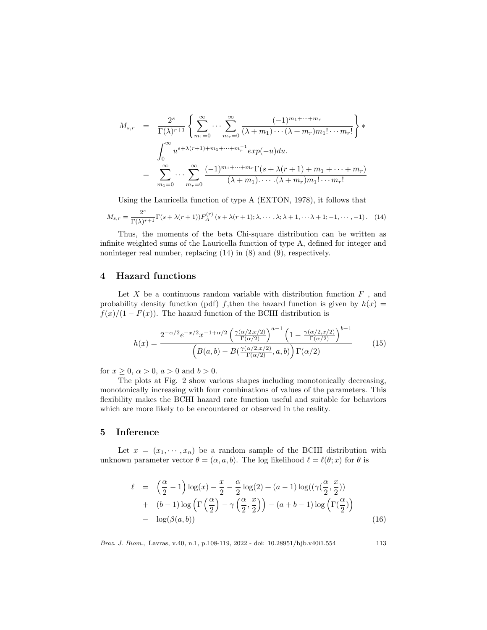$$
M_{s,r} = \frac{2^s}{\Gamma(\lambda)^{r+1}} \left\{ \sum_{m_1=0}^{\infty} \cdots \sum_{m_r=0}^{\infty} \frac{(-1)^{m_1+\cdots+m_r}}{(\lambda+m_1)\cdots(\lambda+m_r)m_1!\cdots m_r!} \right\} * \n\int_0^{\infty} u^{s+\lambda(r+1)+m_1+\cdots+m_r^{-1}} exp(-u) du.
$$
\n
$$
= \sum_{m_1=0}^{\infty} \cdots \sum_{m_r=0}^{\infty} \frac{(-1)^{m_1+\cdots+m_r} \Gamma(s+\lambda(r+1)+m_1+\cdots+m_r)}{(\lambda+m_1)\cdots(\lambda+m_r)m_1!\cdots m_r!}
$$

Using the Lauricella function of type A (EXTON, 1978), it follows that

$$
M_{s,r} = \frac{2^s}{\Gamma(\lambda)^{r+1}} \Gamma(s + \lambda(r+1)) F_A^{(r)}(s + \lambda(r+1); \lambda, \cdots, \lambda; \lambda+1, \cdots, \lambda+1; -1, \cdots, -1).
$$
 (14)

Thus, the moments of the beta Chi-square distribution can be written as infinite weighted sums of the Lauricella function of type A, defined for integer and noninteger real number, replacing (14) in (8) and (9), respectively.

### 4 Hazard functions

Let  $X$  be a continuous random variable with distribution function  $F$ , and probability density function (pdf) f,then the hazard function is given by  $h(x) =$  $f(x)/(1 - F(x))$ . The hazard function of the BCHI distribution is

$$
h(x) = \frac{2^{-\alpha/2} e^{-x/2} x^{-1+\alpha/2} \left(\frac{\gamma(\alpha/2, x/2)}{\Gamma(\alpha/2)}\right)^{a-1} \left(1 - \frac{\gamma(\alpha/2, x/2)}{\Gamma(\alpha/2)}\right)^{b-1}}{\left(B(a, b) - B\left(\frac{\gamma(\alpha/2, x/2)}{\Gamma(\alpha/2)}, a, b\right)\right) \Gamma(\alpha/2)}
$$
(15)

for  $x \ge 0$ ,  $\alpha > 0$ ,  $a > 0$  and  $b > 0$ .

The plots at Fig. 2 show various shapes including monotonically decreasing, monotonically increasing with four combinations of values of the parameters. This flexibility makes the BCHI hazard rate function useful and suitable for behaviors which are more likely to be encountered or observed in the reality.

# 5 Inference

Let  $x = (x_1, \dots, x_n)$  be a random sample of the BCHI distribution with unknown parameter vector  $\theta = (\alpha, a, b)$ . The log likelihood  $\ell = \ell(\theta; x)$  for  $\theta$  is

$$
\ell = \left(\frac{\alpha}{2} - 1\right) \log(x) - \frac{x}{2} - \frac{\alpha}{2} \log(2) + (a - 1) \log((\gamma(\frac{\alpha}{2}, \frac{x}{2}))
$$
  
+ 
$$
(b - 1) \log\left(\Gamma\left(\frac{\alpha}{2}\right) - \gamma\left(\frac{\alpha}{2}, \frac{x}{2}\right)\right) - (a + b - 1) \log\left(\Gamma(\frac{\alpha}{2})\right)
$$
  
- 
$$
\log(\beta(a, b))
$$
 (16)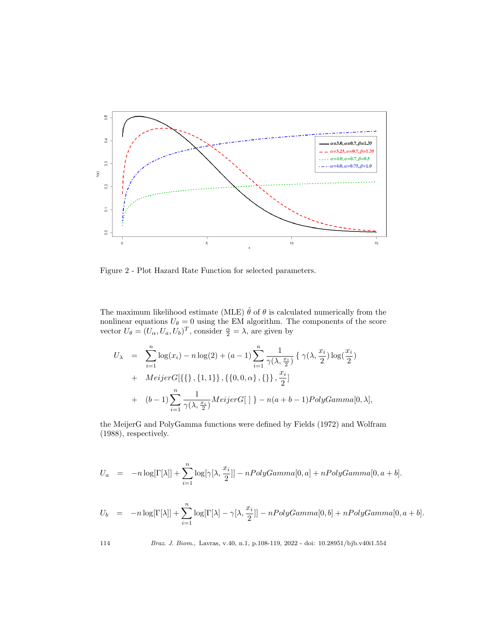

Figure 2 - Plot Hazard Rate Function for selected parameters.

The maximum likelihood estimate (MLE)  $\hat{\theta}$  of  $\theta$  is calculated numerically from the nonlinear equations  $U_{\theta} = 0$  using the EM algorithm. The components of the score vector  $U_{\theta} = (U_{\alpha}, U_{a}, U_{b})^{T}$ , consider  $\frac{\alpha}{2} = \lambda$ , are given by

$$
U_{\lambda} = \sum_{i=1}^{n} \log(x_i) - n \log(2) + (a-1) \sum_{i=1}^{n} \frac{1}{\gamma(\lambda, \frac{x_i}{2})} \{ \gamma(\lambda, \frac{x_i}{2}) \log(\frac{x_i}{2})
$$
  
+ 
$$
Meijer G[\{\{\}, \{1, 1\}\}, \{\{0, 0, \alpha\}, \{\}\}, \frac{x_i}{2}]
$$
  
+ 
$$
(b-1) \sum_{i=1}^{n} \frac{1}{\gamma(\lambda, \frac{x_i}{2})} Meijer G[\ ] - n(a+b-1) PolyGamma[0, \lambda],
$$

the MeijerG and PolyGamma functions were defined by Fields (1972) and Wolfram (1988), respectively.

$$
U_a = -n \log[\Gamma[\lambda]] + \sum_{i=1}^n \log[\gamma[\lambda, \frac{x_i}{2}]] - nPolyGamma[0, a] + nPolyGamma[0, a+b].
$$

$$
U_b = -n \log[\Gamma[\lambda]] + \sum_{i=1}^n \log[\Gamma[\lambda] - \gamma[\lambda, \frac{x_i}{2}]] - n \log Gamma[0, b] + n \log Gamma[0, a+b].
$$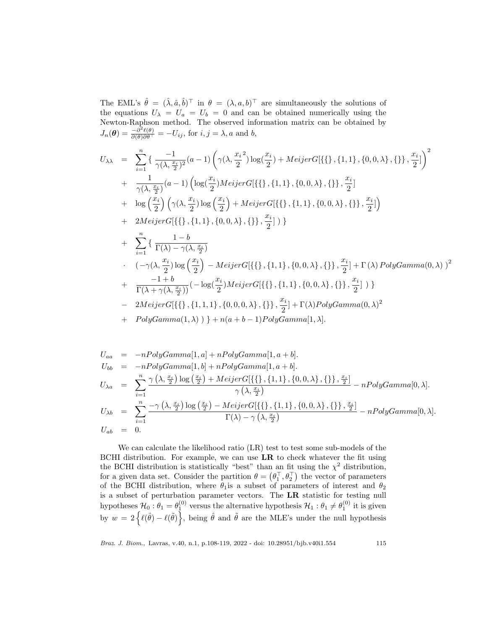The EML's  $\hat{\theta} = (\hat{\lambda}, \hat{a}, \hat{b})^{\top}$  in  $\theta = (\lambda, a, b)^{\top}$  are simultaneously the solutions of the equations  $U_{\lambda} = U_a = U_b = 0$  and can be obtained numerically using the Newton-Raphson method. The observed information matrix can be obtained by  $J_n(\boldsymbol{\theta}) = \frac{-\partial^2 \ell(\theta)}{\partial(\theta)\partial \theta^{\top}} = -U_{ij}$ , for  $i, j = \lambda, a$  and b,

$$
U_{\lambda\lambda} = \sum_{i=1}^{n} \left\{ \frac{-1}{\gamma(\lambda, \frac{x_i}{2})^2} (a-1) \left( \gamma(\lambda, \frac{x_i}{2}) \log(\frac{x_i}{2}) + Meijerc[\{\{\}, \{1, 1\}, \{0, 0, \lambda\}, \{\}\}, \frac{x_i}{2}] \right)^2 + \frac{1}{\gamma(\lambda, \frac{x_i}{2})} (a-1) \left( \log(\frac{x_i}{2}) Meijerc[\{\{\}, \{1, 1\}, \{0, 0, \lambda\}, \{\}\}, \frac{x_i}{2}] \right) + \log(\frac{x_i}{2}) \left( \gamma(\lambda, \frac{x_i}{2}) \log(\frac{x_i}{2}) + Meijerc[\{\{\}, \{1, 1\}, \{0, 0, \lambda\}, \{\}\}, \frac{x_i}{2}] \right) + 2Meijerc[\{\{\}, \{1, 1\}, \{0, 0, \lambda\}, \{\}\}, \frac{x_i}{2}] \right) + \sum_{i=1}^{n} \left\{ \frac{1-b}{\Gamma(\lambda) - \gamma(\lambda, \frac{x_i}{2})} - Meijerc[\{\{\}, \{1, 1\}, \{0, 0, \lambda\}, \{\}\}, \frac{x_i}{2}] + \Gamma(\lambda) PolyGamma(0, \lambda) \right\}^2 + \frac{-1+b}{\Gamma(\lambda + \gamma(\lambda, \frac{x_i}{2}))} (-\log(\frac{x_i}{2}) Meijerc[\{\{\}, \{1, 1\}, \{0, 0, \lambda\}, \{\}\}, \frac{x_i}{2}] \right) \}
$$
  
- 2Meijerc[\{\{\}, \{1, 1, 1\}, \{0, 0, 0, \lambda\}, \{\}\}, \frac{x\_i}{2}] + \Gamma(\lambda) PolyGamma(0, \lambda) )^2 + \frac{-1+b}{\Gamma(\lambda + \gamma(\lambda, \frac{x\_i}{2}))} (-\log(\frac{x\_i}{2}) Meijerc[\{\{\}, \{1, 1\}, \{0, 0, \lambda\}, \{\}\}, \frac{x\_i}{2}] \right) \}  
- 2Meijerc[\{\{\}, \{1, 1, 1\}, \{0, 0, 0, \lambda\}, \{\}\}, \frac{x\_i}{2}] + \Gamma(\lambda) PolyGamma(0, \lambda)

$$
U_{aa} = -nPolyGamma[1, a] + nPolyGamma[1, a + b].
$$
  
\n
$$
U_{bb} = -nPolyGamma[1, b] + nPolyGamma[1, a + b].
$$
  
\n
$$
U_{\lambda a} = \sum_{i=1}^{n} \frac{\gamma(\lambda, \frac{x_i}{2}) \log(\frac{x_i}{2}) + MeijerG[\{\{\}, \{1, 1\}, \{0, 0, \lambda\}, \{\}\}, \frac{x_i}{2}]}{\gamma(\lambda, \frac{x_i}{2})} - nPolyGamma[0, \lambda].
$$
  
\n
$$
U_{\lambda b} = \sum_{i=1}^{n} \frac{-\gamma(\lambda, \frac{x_i}{2}) \log(\frac{x_i}{2}) - MeijerG[\{\{\}, \{1, 1\}, \{0, 0, \lambda\}, \{\}\}, \frac{x_i}{2}]}{\Gamma(\lambda) - \gamma(\lambda, \frac{x_i}{2})} - nPolyGamma[0, \lambda].
$$
  
\n
$$
U_{ab} = 0.
$$

We can calculate the likelihood ratio (LR) test to test some sub-models of the BCHI distribution. For example, we can use  $LR$  to check whatever the fit using the BCHI distribution is statistically "best" than an fit using the  $\chi^2$  distribution, for a given data set. Consider the partition  $\theta = (\theta_1^\top, \theta_2^\top)$  the vector of parameters of the BCHI distribution, where  $\theta_1$  is a subset of parameters of interest and  $\theta_2$ is a subset of perturbation parameter vectors. The LR statistic for testing null hypotheses  $\mathcal{H}_0: \theta_1 = \theta_1^{(0)}$  versus the alternative hypothesis  $\mathcal{H}_1: \theta_1 \neq \theta_1^{(0)}$  it is given by  $w = 2 \{ \ell(\hat{\theta}) - \ell(\tilde{\theta}) \},$  being  $\hat{\theta}$  and  $\tilde{\theta}$  are the MLE's under the null hypothesis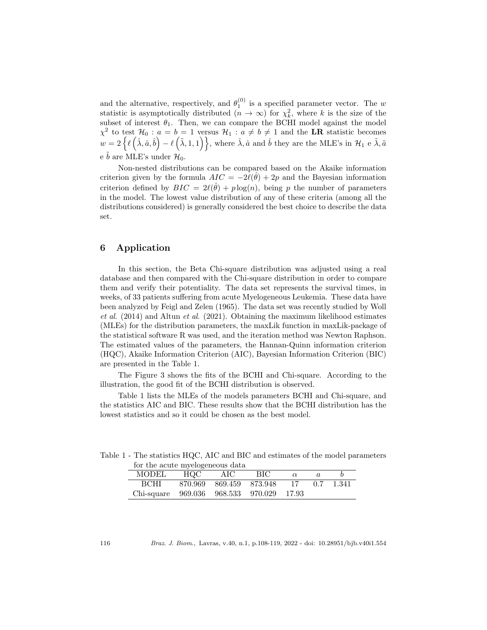and the alternative, respectively, and  $\theta_1^{(0)}$  is a specified parameter vector. The w statistic is asymptotically distributed  $(n \to \infty)$  for  $\chi^2_k$ , where k is the size of the subset of interest  $\theta_1$ . Then, we can compare the BCHI model against the model  $\chi^2$  to test  $\mathcal{H}_0: a = b = 1$  versus  $\mathcal{H}_1: a \neq b \neq 1$  and the LR statistic becomes  $w = 2 \left\{ \ell \left( \hat{\lambda}, \hat{a}, \hat{b} \right) - \ell \left( \tilde{\lambda}, 1, 1 \right) \right\}$ , where  $\hat{\lambda}, \hat{a}$  and  $\hat{b}$  they are the MLE's in  $\mathcal{H}_1$  e  $\tilde{\lambda}, \tilde{a}$ e  $\tilde{b}$  are MLE's under  $\mathcal{H}_0$ .

Non-nested distributions can be compared based on the Akaike information criterion given by the formula  $AIC = -2l(\hat{\theta}) + 2p$  and the Bayesian information criterion defined by  $BIC = 2\ell(\hat{\theta}) + p \log(n)$ , being p the number of parameters in the model. The lowest value distribution of any of these criteria (among all the distributions considered) is generally considered the best choice to describe the data set.

## 6 Application

In this section, the Beta Chi-square distribution was adjusted using a real database and then compared with the Chi-square distribution in order to compare them and verify their potentiality. The data set represents the survival times, in weeks, of 33 patients suffering from acute Myelogeneous Leukemia. These data have been analyzed by Feigl and Zelen (1965). The data set was recently studied by Woll et al.  $(2014)$  and Altun et al.  $(2021)$ . Obtaining the maximum likelihood estimates (MLEs) for the distribution parameters, the maxLik function in maxLik-package of the statistical software R was used, and the iteration method was Newton Raphson. The estimated values of the parameters, the Hannan-Quinn information criterion (HQC), Akaike Information Criterion (AIC), Bayesian Information Criterion (BIC) are presented in the Table 1.

The Figure 3 shows the fits of the BCHI and Chi-square. According to the illustration, the good fit of the BCHI distribution is observed.

Table 1 lists the MLEs of the models parameters BCHI and Chi-square, and the statistics AIC and BIC. These results show that the BCHI distribution has the lowest statistics and so it could be chosen as the best model.

| for the acute myelogeneous data          |     |                         |     |          |     |       |
|------------------------------------------|-----|-------------------------|-----|----------|-----|-------|
| MODEL                                    | HOC | AIC                     | BIC | $\alpha$ |     |       |
| BCHL                                     |     | 870.969 869.459 873.948 |     | - 17     | 0.7 | 1.341 |
| Chi-square 969.036 968.533 970.029 17.93 |     |                         |     |          |     |       |

Table 1 - The statistics HQC, AIC and BIC and estimates of the model parameters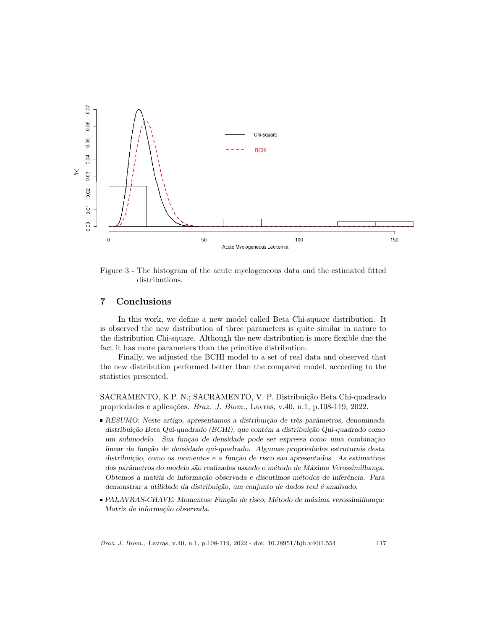

Figure 3 - The histogram of the acute myelogeneous data and the estimated fitted distributions.

### 7 Conclusions

In this work, we define a new model called Beta Chi-square distribution. It is observed the new distribution of three parameters is quite similar in nature to the distribution Chi-square. Although the new distribution is more flexible due the fact it has more parameters than the primitive distribution.

Finally, we adjusted the BCHI model to a set of real data and observed that the new distribution performed better than the compared model, according to the statistics presented.

SACRAMENTO, K.P. N.; SACRAMENTO, V. P. Distribuição Beta Chi-quadrado propriedades e aplicações. Braz. J. Biom., Lavras, v.40, n.1, p.108-119, 2022.

- RESUMO: Neste artigo, apresentamos a distribuição de três parâmetros, denominada distribuição Beta Qui-quadrado (BCHI), que contém a distribuição Qui-quadrado como um submodelo. Sua função de densidade pode ser expressa como uma combinação linear da função de densidade qui-quadrado. Algumas propriedades estruturais desta distribuição, como os momentos e a função de risco são apresentados. As estimativas dos parâmetros do modelo são realizadas usando o método de Máxima Verossimilhança. Obtemos a matriz de informação observada e discutimos métodos de inferência. Para demonstrar a utilidade da distribuição, um conjunto de dados real é analisado.
- PALAVRAS-CHAVE: Momentos; Função de risco; Método de máxima verossimilhança; Matriz de informação observada.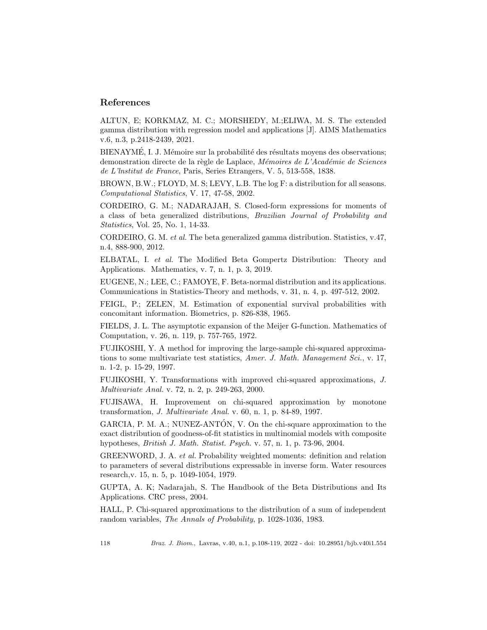### References

ALTUN, E; KORKMAZ, M. C.; MORSHEDY, M.;ELIWA, M. S. The extended gamma distribution with regression model and applications [J]. AIMS Mathematics v.6, n.3, p.2418-2439, 2021.

BIENAYMÉ, I. J. Mémoire sur la probabilité des résultats moyens des observations; demonstration directe de la règle de Laplace, Mémoires de L'Académie de Sciences de L'lnstitut de France, Paris, Series Etrangers, V. 5, 513-558, 1838.

BROWN, B.W.; FLOYD, M. S; LEVY, L.B. The log F: a distribution for all seasons. Computational Statistics, V. 17, 47-58, 2002.

CORDEIRO, G. M.; NADARAJAH, S. Closed-form expressions for moments of a class of beta generalized distributions, Brazilian Journal of Probability and Statistics, Vol. 25, No. 1, 14-33.

CORDEIRO, G. M. et al. The beta generalized gamma distribution. Statistics, v.47, n.4, 888-900, 2012.

ELBATAL, I. et al. The Modified Beta Gompertz Distribution: Theory and Applications. Mathematics, v. 7, n. 1, p. 3, 2019.

EUGENE, N.; LEE, C.; FAMOYE, F. Beta-normal distribution and its applications. Communications in Statistics-Theory and methods, v. 31, n. 4, p. 497-512, 2002.

FEIGL, P.; ZELEN, M. Estimation of exponential survival probabilities with concomitant information. Biometrics, p. 826-838, 1965.

FIELDS, J. L. The asymptotic expansion of the Meijer G-function. Mathematics of Computation, v. 26, n. 119, p. 757-765, 1972.

FUJIKOSHI, Y. A method for improving the large-sample chi-squared approximations to some multivariate test statistics, Amer. J. Math. Management Sci., v. 17, n. 1-2, p. 15-29, 1997.

FUJIKOSHI, Y. Transformations with improved chi-squared approximations, J. Multivariate Anal. v. 72, n. 2, p. 249-263, 2000.

FUJISAWA, H. Improvement on chi-squared approximation by monotone transformation, J. Multivariate Anal. v. 60, n. 1, p. 84-89, 1997.

GARCIA, P. M. A.; NUNEZ-ANTÓN, V. On the chi-square approximation to the exact distribution of goodness-of-fit statistics in multinomial models with composite hypotheses, British J. Math. Statist. Psych. v. 57, n. 1, p. 73-96, 2004.

GREENWORD, J. A. et al. Probability weighted moments: definition and relation to parameters of several distributions expressable in inverse form. Water resources research,v. 15, n. 5, p. 1049-1054, 1979.

GUPTA, A. K; Nadarajah, S. The Handbook of the Beta Distributions and Its Applications. CRC press, 2004.

HALL, P. Chi-squared approximations to the distribution of a sum of independent random variables, The Annals of Probability, p. 1028-1036, 1983.